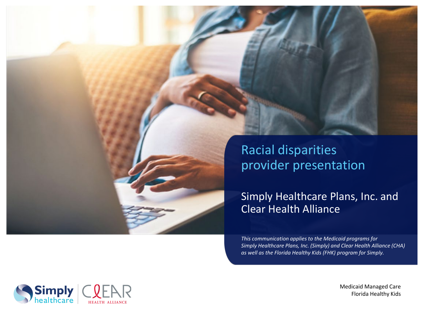

Simply Healthcare Plans, Inc. and Clear Health Alliance

*This communication applies to the Medicaid programs for Simply Healthcare Plans, Inc. (Simply) and Clear Health Alliance (CHA) as well as the Florida Healthy Kids (FHK) program for Simply.*



Medicaid Managed Care Florida Healthy Kids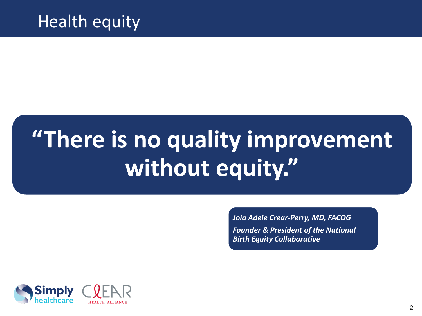### Health equity

# **"There is no quality improvement without equity."**

*Joia Adele Crear-Perry, MD, FACOG Founder & President of the National Birth Equity Collaborative* 

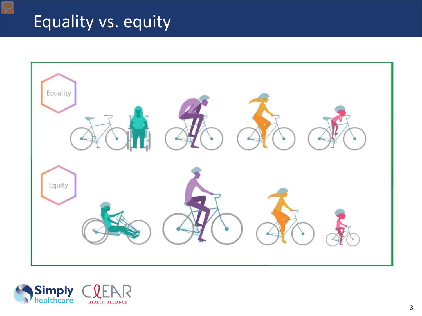# Equality vs. equity



![](_page_2_Picture_2.jpeg)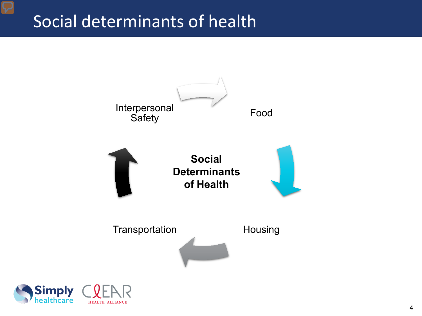#### Social determinants of health

![](_page_3_Figure_1.jpeg)

![](_page_3_Picture_2.jpeg)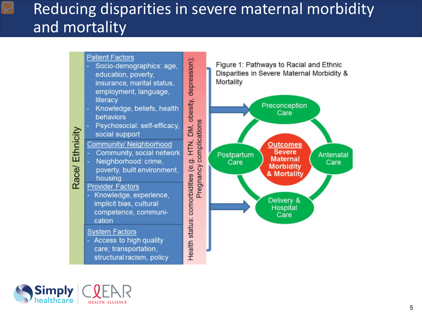#### Reducing disparities in severe maternal morbidity and mortality

![](_page_4_Figure_1.jpeg)

![](_page_4_Picture_2.jpeg)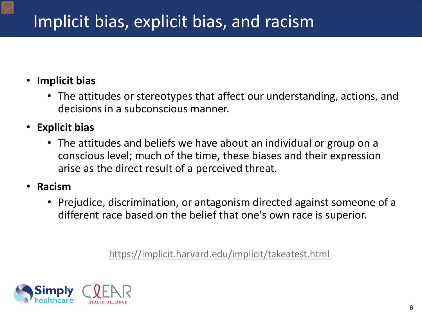# Implicit bias, explicit bias, and racism

#### • **Implicit bias**

- The attitudes or stereotypes that affect our understanding, actions, and decisions in a subconscious manner.
- **Explicit bias**
	- The attitudes and beliefs we have about an individual or group on a conscious level; much of the time, these biases and their expression arise as the direct result of a perceived threat.
- **Racism**
	- Prejudice, discrimination, or antagonism directed against someone of a different race based on the belief that one's own race is superior.

<https://implicit.harvard.edu/implicit/takeatest.html>

![](_page_5_Picture_8.jpeg)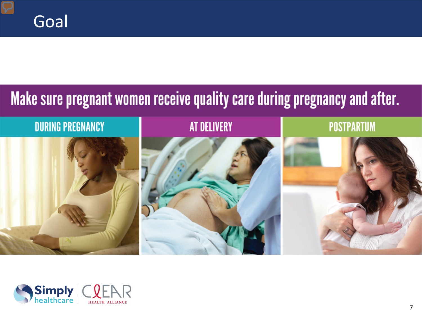# Make sure pregnant women receive quality care during pregnancy and after.

![](_page_6_Figure_2.jpeg)

![](_page_6_Picture_3.jpeg)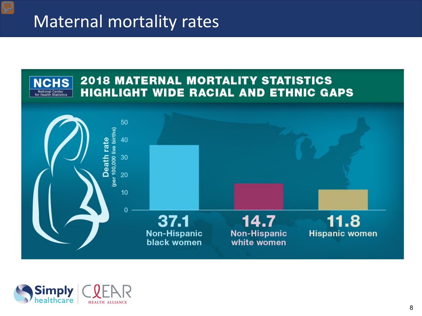#### Maternal mortality rates

![](_page_7_Figure_1.jpeg)

![](_page_7_Picture_2.jpeg)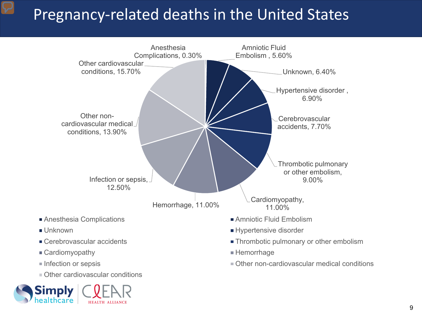#### Pregnancy-related deaths in the United States

![](_page_8_Figure_1.jpeg)

![](_page_8_Picture_2.jpeg)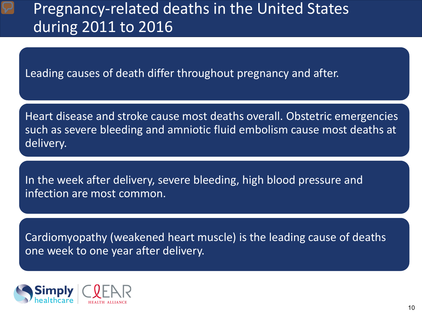#### Pregnancy-related deaths in the United States during 2011 to 2016

Leading causes of death differ throughout pregnancy and after.

Heart disease and stroke cause most deaths overall. Obstetric emergencies such as severe bleeding and amniotic fluid embolism cause most deaths at delivery.

In the week after delivery, severe bleeding, high blood pressure and infection are most common.

Cardiomyopathy (weakened heart muscle) is the leading cause of deaths one week to one year after delivery.

![](_page_9_Picture_5.jpeg)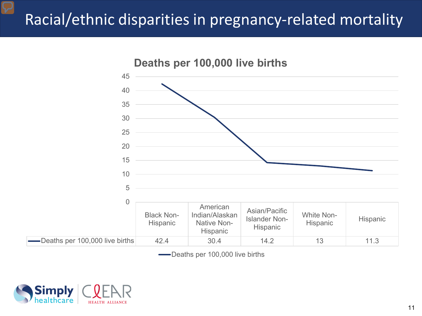#### Racial/ethnic disparities in pregnancy-related mortality

![](_page_10_Figure_1.jpeg)

Deaths per 100,000 live births

![](_page_10_Picture_3.jpeg)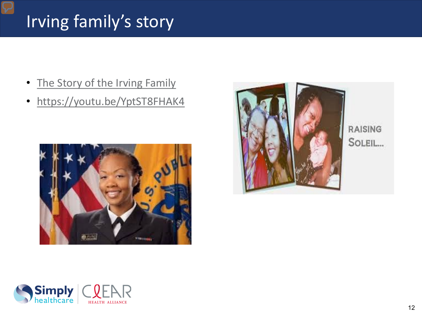# Irving family's story

- [The Story of the Irving Family](https://www.hrsa.gov/enews/past-issues/2018/july-5/shalons-story.html)
- <https://youtu.be/YptST8FHAK4>

![](_page_11_Picture_3.jpeg)

![](_page_11_Picture_4.jpeg)

RAISING SOLEIL...

![](_page_11_Picture_6.jpeg)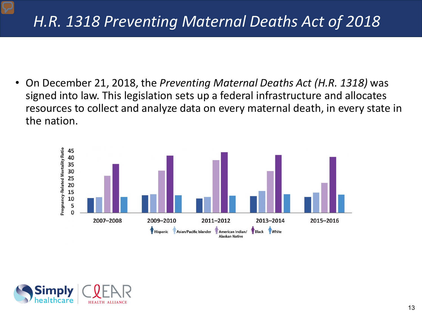#### *H.R. 1318 Preventing Maternal Deaths Act of 2018*

• On December 21, 2018, the *Preventing Maternal Deaths Act (H.R. 1318)* was signed into law. This legislation sets up a federal infrastructure and allocates resources to collect and analyze data on every maternal death, in every state in the nation.

![](_page_12_Figure_2.jpeg)

![](_page_12_Picture_3.jpeg)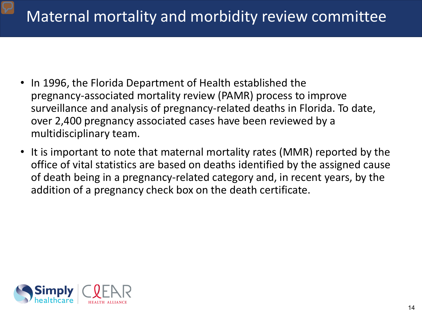#### Maternal mortality and morbidity review committee

- In 1996, the Florida Department of Health established the pregnancy-associated mortality review (PAMR) process to improve surveillance and analysis of pregnancy-related deaths in Florida. To date, over 2,400 pregnancy associated cases have been reviewed by a multidisciplinary team.
- It is important to note that maternal mortality rates (MMR) reported by the office of vital statistics are based on deaths identified by the assigned cause of death being in a pregnancy-related category and, in recent years, by the addition of a pregnancy check box on the death certificate.

![](_page_13_Picture_3.jpeg)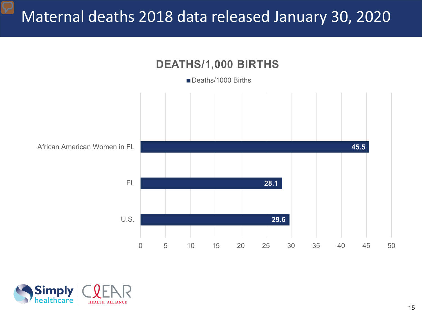#### Maternal deaths 2018 data released January 30, 2020

![](_page_14_Figure_1.jpeg)

![](_page_14_Picture_2.jpeg)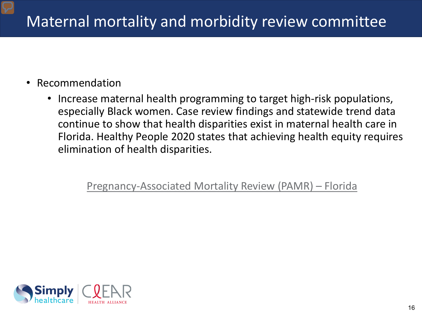#### Maternal mortality and morbidity review committee

- Recommendation
	- Increase maternal health programming to target high-risk populations, especially Black women. Case review findings and statewide trend data continue to show that health disparities exist in maternal health care in Florida. Healthy People 2020 states that achieving health equity requires elimination of health disparities.

[Pregnancy-Associated Mortality Review \(PAMR\) –](http://www.floridahealth.gov/statistics-and-data/PAMR/index.html) Florida

![](_page_15_Picture_4.jpeg)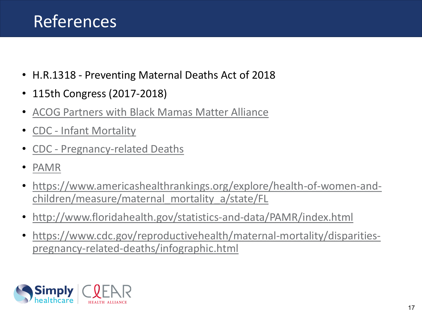### References

- H.R.1318 Preventing Maternal Deaths Act of 2018
- 115th Congress (2017-2018)
- [ACOG Partners with Black Mamas Matter Alliance](https://www.acog.org/en/News/News%20Articles/2020/04/ACOG%20Partners%20with%20Black%20Mamas%20Matter%20Alliance%20on%20Black%20Maternal%20Health%20Week%202020)
- CDC [Infant Mortality](https://www.cdc.gov/reproductivehealth/maternalinfanthealth/infantmortality.htm)
- CDC [Pregnancy-related Deaths](https://www.cdc.gov/vitalsigns/maternal-deaths/)
- [PAMR](http://www.floridahealth.gov/statistics-and-data/PAMR/index.html)
- [https://www.americashealthrankings.org/explore/health-of-women-and](https://www.americashealthrankings.org/explore/health-of-women-and-children/measure/maternal_mortality_a/state/FL)children/measure/maternal\_mortality\_a/state/FL
- <http://www.floridahealth.gov/statistics-and-data/PAMR/index.html>
- [https://www.cdc.gov/reproductivehealth/maternal-mortality/disparities](https://www.cdc.gov/reproductivehealth/maternal-mortality/disparities-pregnancy-related-deaths/infographic.html)pregnancy-related-deaths/infographic.html

![](_page_16_Picture_10.jpeg)